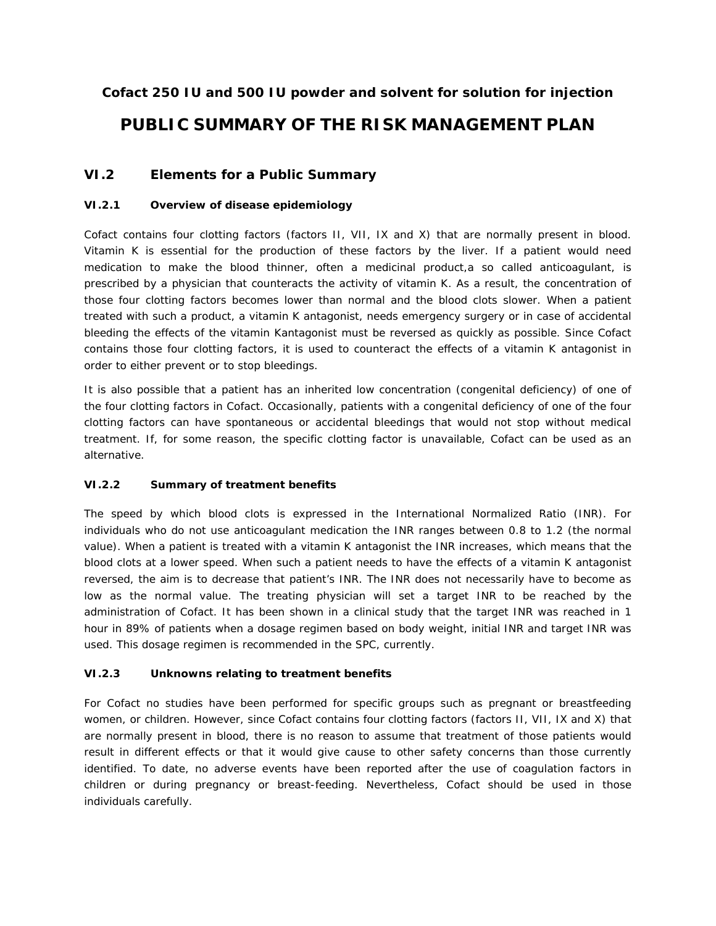# **Cofact 250 IU and 500 IU powder and solvent for solution for injection PUBLIC SUMMARY OF THE RISK MANAGEMENT PLAN**

## **VI.2 Elements for a Public Summary**

## *VI.2.1 Overview of disease epidemiology*

Cofact contains four clotting factors (factors II, VII, IX and X) that are normally present in blood. Vitamin K is essential for the production of these factors by the liver. If a patient would need medication to make the blood thinner, often a medicinal product,a so called anticoagulant, is prescribed by a physician that counteracts the activity of vitamin K. As a result, the concentration of those four clotting factors becomes lower than normal and the blood clots slower. When a patient treated with such a product, a vitamin K antagonist, needs emergency surgery or in case of accidental bleeding the effects of the vitamin Kantagonist must be reversed as quickly as possible. Since Cofact contains those four clotting factors, it is used to counteract the effects of a vitamin K antagonist in order to either prevent or to stop bleedings.

It is also possible that a patient has an inherited low concentration (congenital deficiency) of one of the four clotting factors in Cofact. Occasionally, patients with a congenital deficiency of one of the four clotting factors can have spontaneous or accidental bleedings that would not stop without medical treatment. If, for some reason, the specific clotting factor is unavailable, Cofact can be used as an alternative.

## *VI.2.2 Summary of treatment benefits*

The speed by which blood clots is expressed in the International Normalized Ratio (INR). For individuals who do not use anticoagulant medication the INR ranges between 0.8 to 1.2 (the normal value). When a patient is treated with a vitamin K antagonist the INR increases, which means that the blood clots at a lower speed. When such a patient needs to have the effects of a vitamin K antagonist reversed, the aim is to decrease that patient's INR. The INR does not necessarily have to become as low as the normal value. The treating physician will set a target INR to be reached by the administration of Cofact. It has been shown in a clinical study that the target INR was reached in 1 hour in 89% of patients when a dosage regimen based on body weight, initial INR and target INR was used. This dosage regimen is recommended in the SPC, currently.

## *VI.2.3 Unknowns relating to treatment benefits*

For Cofact no studies have been performed for specific groups such as pregnant or breastfeeding women, or children. However, since Cofact contains four clotting factors (factors II, VII, IX and X) that are normally present in blood, there is no reason to assume that treatment of those patients would result in different effects or that it would give cause to other safety concerns than those currently identified. To date, no adverse events have been reported after the use of coagulation factors in children or during pregnancy or breast-feeding. Nevertheless, Cofact should be used in those individuals carefully.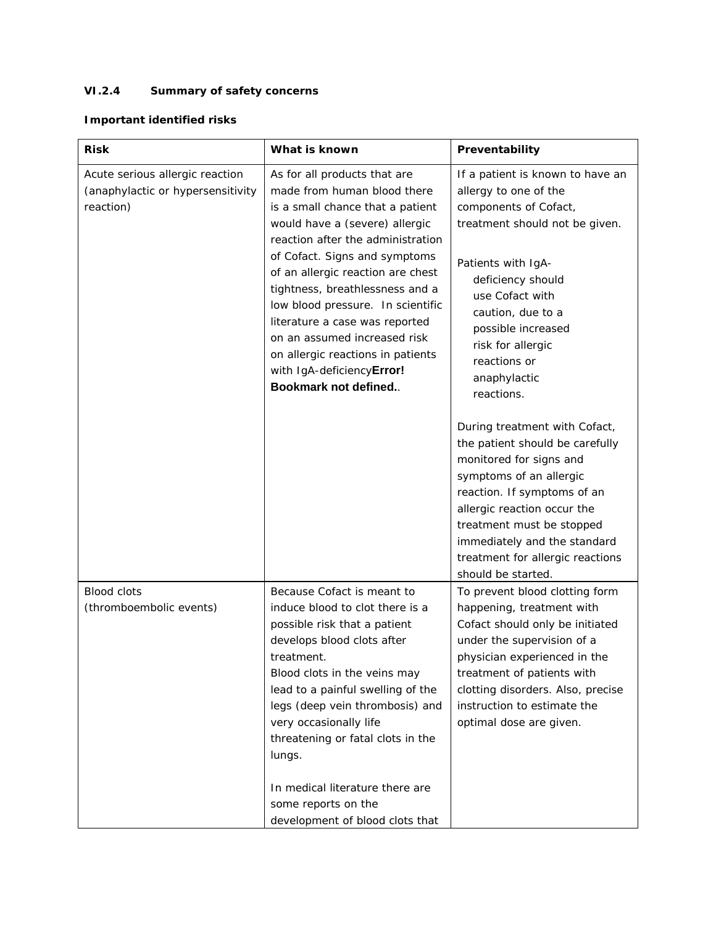## *VI.2.4 Summary of safety concerns*

## **Important identified risks**

| <b>Risk</b>                                                                       | What is known                                                                                                                                                                                                                                                                                                                                                                                                                                                                    | Preventability                                                                                                                                                                                                                                                                                              |
|-----------------------------------------------------------------------------------|----------------------------------------------------------------------------------------------------------------------------------------------------------------------------------------------------------------------------------------------------------------------------------------------------------------------------------------------------------------------------------------------------------------------------------------------------------------------------------|-------------------------------------------------------------------------------------------------------------------------------------------------------------------------------------------------------------------------------------------------------------------------------------------------------------|
| Acute serious allergic reaction<br>(anaphylactic or hypersensitivity<br>reaction) | As for all products that are<br>made from human blood there<br>is a small chance that a patient<br>would have a (severe) allergic<br>reaction after the administration<br>of Cofact. Signs and symptoms<br>of an allergic reaction are chest<br>tightness, breathlessness and a<br>low blood pressure. In scientific<br>literature a case was reported<br>on an assumed increased risk<br>on allergic reactions in patients<br>with IgA-deficiencyError!<br>Bookmark not defined | If a patient is known to have an<br>allergy to one of the<br>components of Cofact,<br>treatment should not be given.<br>Patients with IgA-<br>deficiency should<br>use Cofact with<br>caution, due to a<br>possible increased<br>risk for allergic<br>reactions or<br>anaphylactic<br>reactions.            |
|                                                                                   |                                                                                                                                                                                                                                                                                                                                                                                                                                                                                  | During treatment with Cofact,<br>the patient should be carefully<br>monitored for signs and<br>symptoms of an allergic<br>reaction. If symptoms of an<br>allergic reaction occur the<br>treatment must be stopped<br>immediately and the standard<br>treatment for allergic reactions<br>should be started. |
| <b>Blood clots</b><br>(thromboembolic events)                                     | Because Cofact is meant to<br>induce blood to clot there is a<br>possible risk that a patient<br>develops blood clots after<br>treatment.<br>Blood clots in the veins may<br>lead to a painful swelling of the<br>legs (deep vein thrombosis) and<br>very occasionally life<br>threatening or fatal clots in the<br>lungs.<br>In medical literature there are<br>some reports on the<br>development of blood clots that                                                          | To prevent blood clotting form<br>happening, treatment with<br>Cofact should only be initiated<br>under the supervision of a<br>physician experienced in the<br>treatment of patients with<br>clotting disorders. Also, precise<br>instruction to estimate the<br>optimal dose are given.                   |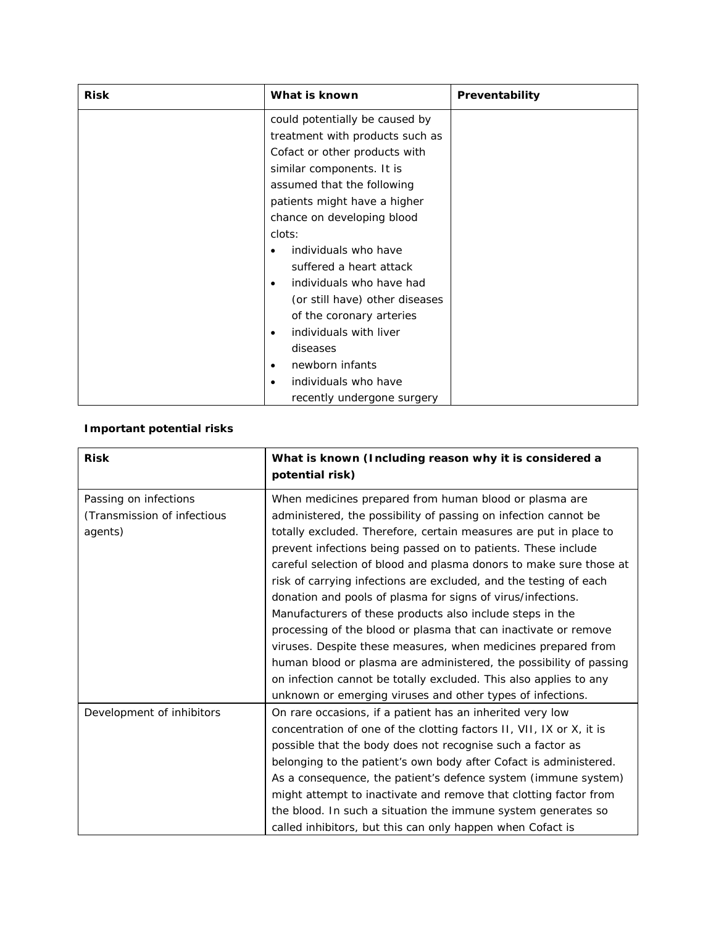| <b>Risk</b> | What is known                         | Preventability |
|-------------|---------------------------------------|----------------|
|             | could potentially be caused by        |                |
|             | treatment with products such as       |                |
|             | Cofact or other products with         |                |
|             | similar components. It is             |                |
|             | assumed that the following            |                |
|             | patients might have a higher          |                |
|             | chance on developing blood            |                |
|             | clots:                                |                |
|             | individuals who have                  |                |
|             | suffered a heart attack               |                |
|             | individuals who have had<br>$\bullet$ |                |
|             | (or still have) other diseases        |                |
|             | of the coronary arteries              |                |
|             | individuals with liver<br>٠           |                |
|             | diseases                              |                |
|             | newborn infants<br>$\bullet$          |                |
|             | individuals who have                  |                |
|             | recently undergone surgery            |                |

# **Important potential risks**

| <b>Risk</b>                 | What is known (Including reason why it is considered a<br>potential risk) |
|-----------------------------|---------------------------------------------------------------------------|
| Passing on infections       | When medicines prepared from human blood or plasma are                    |
| (Transmission of infectious | administered, the possibility of passing on infection cannot be           |
| agents)                     | totally excluded. Therefore, certain measures are put in place to         |
|                             | prevent infections being passed on to patients. These include             |
|                             | careful selection of blood and plasma donors to make sure those at        |
|                             | risk of carrying infections are excluded, and the testing of each         |
|                             | donation and pools of plasma for signs of virus/infections.               |
|                             | Manufacturers of these products also include steps in the                 |
|                             | processing of the blood or plasma that can inactivate or remove           |
|                             | viruses. Despite these measures, when medicines prepared from             |
|                             | human blood or plasma are administered, the possibility of passing        |
|                             | on infection cannot be totally excluded. This also applies to any         |
|                             | unknown or emerging viruses and other types of infections.                |
| Development of inhibitors   | On rare occasions, if a patient has an inherited very low                 |
|                             | concentration of one of the clotting factors II, VII, IX or X, it is      |
|                             | possible that the body does not recognise such a factor as                |
|                             | belonging to the patient's own body after Cofact is administered.         |
|                             | As a consequence, the patient's defence system (immune system)            |
|                             | might attempt to inactivate and remove that clotting factor from          |
|                             | the blood. In such a situation the immune system generates so             |
|                             | called inhibitors, but this can only happen when Cofact is                |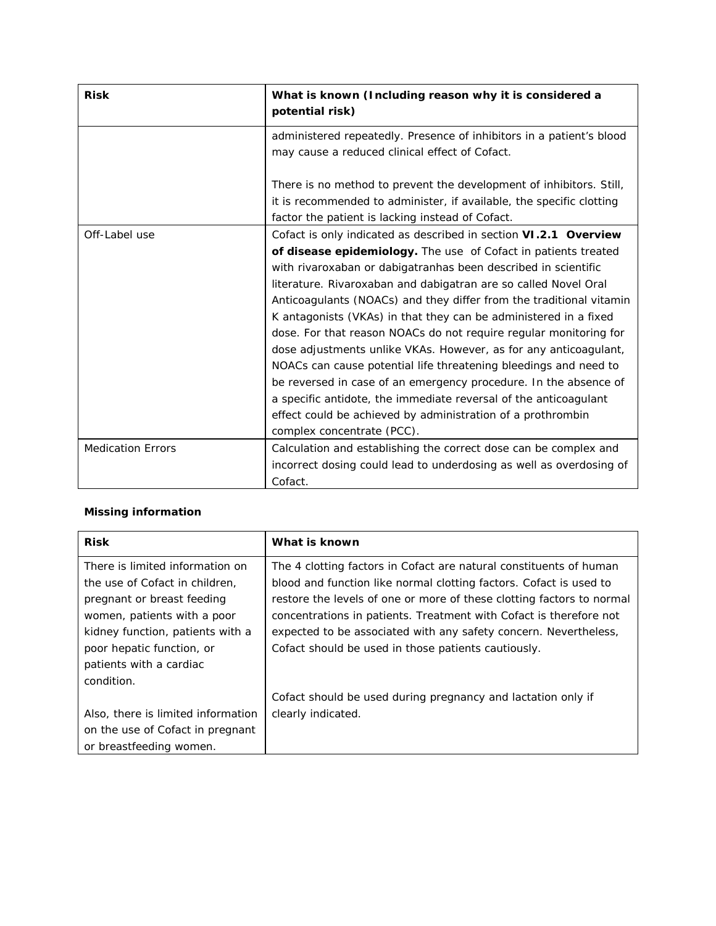| <b>Risk</b>              | What is known (Including reason why it is considered a<br>potential risk)                                                                                                                                                                                                                                                                                                                                                                                                                                                                                                                                                                                                                                                                                                                        |
|--------------------------|--------------------------------------------------------------------------------------------------------------------------------------------------------------------------------------------------------------------------------------------------------------------------------------------------------------------------------------------------------------------------------------------------------------------------------------------------------------------------------------------------------------------------------------------------------------------------------------------------------------------------------------------------------------------------------------------------------------------------------------------------------------------------------------------------|
|                          | administered repeatedly. Presence of inhibitors in a patient's blood<br>may cause a reduced clinical effect of Cofact.                                                                                                                                                                                                                                                                                                                                                                                                                                                                                                                                                                                                                                                                           |
|                          | There is no method to prevent the development of inhibitors. Still,<br>it is recommended to administer, if available, the specific clotting<br>factor the patient is lacking instead of Cofact.                                                                                                                                                                                                                                                                                                                                                                                                                                                                                                                                                                                                  |
| Off-Label use            | Cofact is only indicated as described in section VI.2.1 Overview                                                                                                                                                                                                                                                                                                                                                                                                                                                                                                                                                                                                                                                                                                                                 |
|                          | of disease epidemiology. The use of Cofact in patients treated<br>with rivaroxaban or dabigatranhas been described in scientific<br>literature. Rivaroxaban and dabigatran are so called Novel Oral<br>Anticoagulants (NOACs) and they differ from the traditional vitamin<br>K antagonists (VKAs) in that they can be administered in a fixed<br>dose. For that reason NOACs do not require regular monitoring for<br>dose adjustments unlike VKAs. However, as for any anticoagulant,<br>NOACs can cause potential life threatening bleedings and need to<br>be reversed in case of an emergency procedure. In the absence of<br>a specific antidote, the immediate reversal of the anticoagulant<br>effect could be achieved by administration of a prothrombin<br>complex concentrate (PCC). |
| <b>Medication Errors</b> | Calculation and establishing the correct dose can be complex and<br>incorrect dosing could lead to underdosing as well as overdosing of<br>Cofact.                                                                                                                                                                                                                                                                                                                                                                                                                                                                                                                                                                                                                                               |

## **Missing information**

| <b>Risk</b>                        | What is known                                                         |
|------------------------------------|-----------------------------------------------------------------------|
| There is limited information on    | The 4 clotting factors in Cofact are natural constituents of human    |
| the use of Cofact in children,     | blood and function like normal clotting factors. Cofact is used to    |
| pregnant or breast feeding         | restore the levels of one or more of these clotting factors to normal |
| women, patients with a poor        | concentrations in patients. Treatment with Cofact is therefore not    |
| kidney function, patients with a   | expected to be associated with any safety concern. Nevertheless,      |
| poor hepatic function, or          | Cofact should be used in those patients cautiously.                   |
| patients with a cardiac            |                                                                       |
| condition.                         |                                                                       |
|                                    | Cofact should be used during pregnancy and lactation only if          |
| Also, there is limited information | clearly indicated.                                                    |
| on the use of Cofact in pregnant   |                                                                       |
| or breastfeeding women.            |                                                                       |